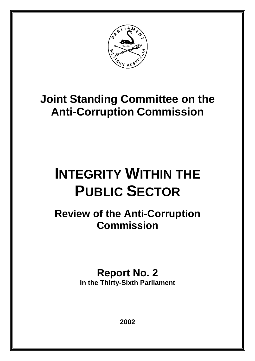

# **Joint Standing Committee on the Anti-Corruption Commission**

# **INTEGRITY WITHIN THE PUBLIC SECTOR**

**Review of the Anti-Corruption Commission**

> **Report No. 2 In the Thirty-Sixth Parliament**

> > **2002**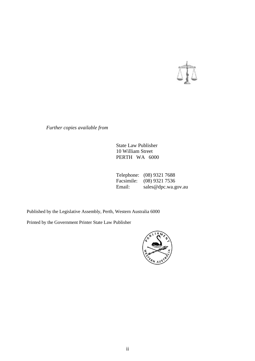

*Further copies available from*

State Law Publisher 10 William Street PERTH WA 6000

Telephone: (08) 9321 7688<br>Facsimile: (08) 9321 7536 Facsimile: (08) 9321 7536<br>Email: sales@dpc.wa.g sales@dpc.wa.gov.au

Published by the Legislative Assembly, Perth, Western Australia 6000

Printed by the Government Printer State Law Publisher

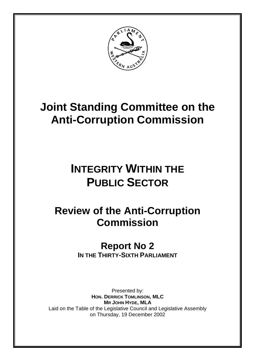

# **Joint Standing Committee on the Anti-Corruption Commission**

# **INTEGRITY WITHIN THE PUBLIC SECTOR**

# **Review of the Anti-Corruption Commission**

## **Report No 2 IN THE THIRTY-SIXTH PARLIAMENT**

Presented by: **HON. DERRICK TOMLINSON, MLC MR JOHN HYDE, MLA** Laid on the Table of the Legislative Council and Legislative Assembly on Thursday, 19 December 2002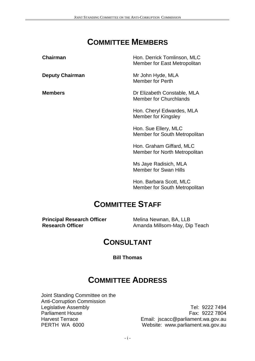## **COMMITTEE MEMBERS**

**Chairman Hon. Derrick Tomlinson, MLC** Member for East Metropolitan

**Deputy Chairman** Mr John Hyde, MLA Member for Perth

**Members** Dr Elizabeth Constable, MLA Member for Churchlands

> Hon. Cheryl Edwardes, MLA Member for Kingsley

Hon. Sue Ellery, MLC Member for South Metropolitan

Hon. Graham Giffard, MLC Member for North Metropolitan

Ms Jaye Radisich, MLA Member for Swan Hills

Hon. Barbara Scott, MLC Member for South Metropolitan

## **COMMITTEE STAFF**

**Principal Research Officer Melina Newnan, BA, LLB** 

**Research Officer** Amanda Millsom-May, Dip Teach

## **CONSULTANT**

**Bill Thomas**

## **COMMITTEE ADDRESS**

Joint Standing Committee on the Anti-Corruption Commission Legislative Assembly Parliament House Harvest Terrace PERTH WA 6000

Tel: 9222 7494 Fax: 9222 7804 Email: jscacc@parliament.wa.gov.au Website: www.parliament.wa.gov.au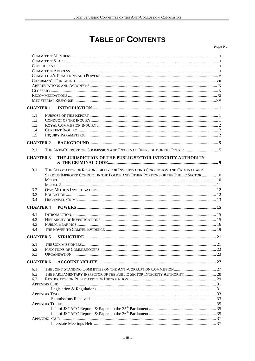## **TABLE OF CONTENTS**

Page No.

| <b>CHAPTER 1</b>                |                                                                                                                                                                      |    |
|---------------------------------|----------------------------------------------------------------------------------------------------------------------------------------------------------------------|----|
| 1.1<br>1.2<br>1.3<br>1.4<br>1.5 |                                                                                                                                                                      |    |
| <b>CHAPTER 2</b>                |                                                                                                                                                                      |    |
| 2.1                             | THE ANTI-CORRUPTION COMMISSION AND EXTERNAL OVERSIGHT OF THE POLICE  5                                                                                               |    |
| <b>CHAPTER 3</b>                | THE JURISDICTION OF THE PUBLIC SECTOR INTEGRITY AUTHORITY                                                                                                            |    |
| 3.1                             | THE ALLOCATION OF RESPONSIBILITY FOR INVESTIGATING CORRUPTION AND CRIMINAL AND<br>SERIOUS IMPROPER CONDUCT IN THE POLICE AND OTHER PORTIONS OF THE PUBLIC SECTOR  10 |    |
| 3.2<br>3.3<br>3.4               |                                                                                                                                                                      |    |
| <b>CHAPTER 4</b>                |                                                                                                                                                                      |    |
| 4.1<br>4.2<br>4.3<br>4.4        |                                                                                                                                                                      |    |
| <b>CHAPTER 5</b>                |                                                                                                                                                                      |    |
| 5.2<br>5.3                      |                                                                                                                                                                      | 21 |
| <b>CHAPTER 6</b>                |                                                                                                                                                                      |    |
| 6.1<br>6.2<br>6.3               | THE PARLIAMENTARY INSPECTOR OF THE PUBLIC SECTOR INTEGRITY AUTHORITY  28                                                                                             |    |
|                                 |                                                                                                                                                                      |    |
|                                 |                                                                                                                                                                      |    |
|                                 |                                                                                                                                                                      |    |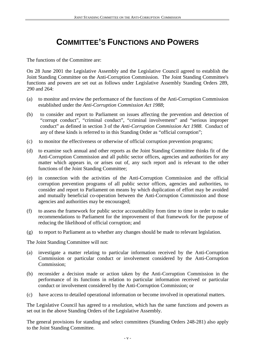## **COMMITTEE'S FUNCTIONS AND POWERS**

The functions of the Committee are:

On 28 June 2001 the Legislative Assembly and the Legislative Council agreed to establish the Joint Standing Committee on the Anti-Corruption Commission. The Joint Standing Committee's functions and powers are set out as follows under Legislative Assembly Standing Orders 289, 290 and 264:

- (a) to monitor and review the performance of the functions of the Anti-Corruption Commission established under the *Anti-Corruption Commission Act 1988*;
- (b) to consider and report to Parliament on issues affecting the prevention and detection of "corrupt conduct", "criminal conduct", "criminal involvement" and "serious improper conduct" as defined in section 3 of the *Anti-Corruption Commission Act 1988*. Conduct of any of these kinds is referred to in this Standing Order as "official corruption";
- (c) to monitor the effectiveness or otherwise of official corruption prevention programs;
- (d) to examine such annual and other reports as the Joint Standing Committee thinks fit of the Anti-Corruption Commission and all public sector offices, agencies and authorities for any matter which appears in, or arises out of, any such report and is relevant to the other functions of the Joint Standing Committee;
- (e) in connection with the activities of the Anti-Corruption Commission and the official corruption prevention programs of all public sector offices, agencies and authorities, to consider and report to Parliament on means by which duplication of effort may be avoided and mutually beneficial co-operation between the Anti-Corruption Commission and those agencies and authorities may be encouraged;
- (f) to assess the framework for public sector accountability from time to time in order to make recommendations to Parliament for the improvement of that framework for the purpose of reducing the likelihood of official corruption; and
- (g) to report to Parliament as to whether any changes should be made to relevant legislation.

The Joint Standing Committee will not:

- (a) investigate a matter relating to particular information received by the Anti-Corruption Commission or particular conduct or involvement considered by the Anti-Corruption Commission;
- (b) reconsider a decision made or action taken by the Anti-Corruption Commission in the performance of its functions in relation to particular information received or particular conduct or involvement considered by the Anti-Corruption Commission; or
- (c) have access to detailed operational information or become involved in operational matters.

The Legislative Council has agreed to a resolution, which has the same functions and powers as set out in the above Standing Orders of the Legislative Assembly.

The general provisions for standing and select committees (Standing Orders 248-281) also apply to the Joint Standing Committee.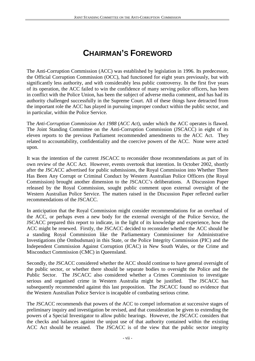## **CHAIRMAN'S FOREWORD**

The Anti-Corruption Commission (ACC) was established by legislation in 1996. Its predecessor, the Official Corruption Commission (OCC), had functioned for eight years previously, but with significantly less authority, and with considerably less public controversy. In the first five years of its operation, the ACC failed to win the confidence of many serving police officers, has been in conflict with the Police Union, has been the subject of adverse media comment, and has had its authority challenged successfully in the Supreme Court. All of these things have detracted from the important role the ACC has played in pursuing improper conduct within the public sector, and in particular, within the Police Service.

The *Anti-Corruption Commission Act 1988* (*ACC Act*), under which the ACC operates is flawed. The Joint Standing Committee on the Anti-Corruption Commission (JSCACC) in eight of its eleven reports to the previous Parliament recommended amendments to the ACC Act. They related to accountability, confidentiality and the coercive powers of the ACC. None were acted upon.

It was the intention of the current JSCACC to reconsider those recommendations as part of its own review of the ACC Act. However, events overtook that intention. In October 2002, shortly after the JSCACC advertised for public submissions, the Royal Commission into Whether There Has Been Any Corrupt or Criminal Conduct by Western Australian Police Officers (the Royal Commission) brought another dimension to the JSCACC's deliberations. A Discussion Paper released by the Royal Commission, sought public comment upon external oversight of the Western Australian Police Service. The matters raised in the Discussion Paper reflected earlier recommendations of the JSCACC.

In anticipation that the Royal Commission might consider recommendations for an overhaul of the ACC, or perhaps even a new body for the external oversight of the Police Service, the JSCACC prepared this report to indicate, in the light of its knowledge and experience, how the ACC might be renewed. Firstly, the JSCACC decided to reconsider whether the ACC should be a standing Royal Commission like the Parliamentary Commissioner for Administrative Investigations (the Ombudsman) in this State, or the Police Integrity Commission (PIC) and the Independent Commission Against Corruption (ICAC) in New South Wales, or the Crime and Misconduct Commission (CMC) in Queensland.

Secondly, the JSCACC considered whether the ACC should continue to have general oversight of the public sector, or whether there should be separate bodies to oversight the Police and the Public Sector. The JSCACC also considered whether a Crimes Commission to investigate serious and organised crime in Western Australia might be justified. The JSCACC has subsequently recommended against this last proposition. The JSCACC found no evidence that the Western Australian Police Service is incapable of combating serious crime.

The JSCACC recommends that powers of the ACC to compel information at successive stages of preliminary inquiry and investigation be revised, and that consideration be given to extending the powers of a Special Investigator to allow public hearings. However, the JSCACC considers that the checks and balances against the unjust use of that authority contained within the existing ACC Act should be retained. The JSCACC is of the view that the public sector integrity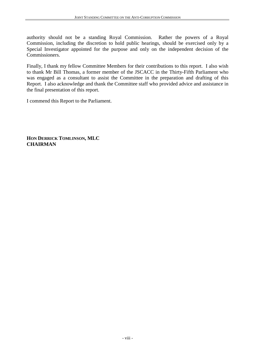authority should not be a standing Royal Commission. Rather the powers of a Royal Commission, including the discretion to hold public hearings, should be exercised only by a Special Investigator appointed for the purpose and only on the independent decision of the Commissioners.

Finally, I thank my fellow Committee Members for their contributions to this report. I also wish to thank Mr Bill Thomas, a former member of the JSCACC in the Thirty-Fifth Parliament who was engaged as a consultant to assist the Committee in the preparation and drafting of this Report. I also acknowledge and thank the Committee staff who provided advice and assistance in the final presentation of this report.

I commend this Report to the Parliament.

**HON DERRICK TOMLINSON, MLC CHAIRMAN**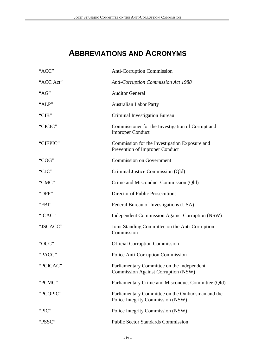## **ABBREVIATIONS AND ACRONYMS**

| "ACC"     | <b>Anti-Corruption Commission</b>                                                        |
|-----------|------------------------------------------------------------------------------------------|
| "ACC Act" | Anti-Corruption Commission Act 1988                                                      |
| "AG"      | <b>Auditor General</b>                                                                   |
| "ALP"     | <b>Australian Labor Party</b>                                                            |
| "CIB"     | Criminal Investigation Bureau                                                            |
| "CICIC"   | Commissioner for the Investigation of Corrupt and<br><b>Improper Conduct</b>             |
| "CIEPIC"  | Commission for the Investigation Exposure and<br>Prevention of Improper Conduct          |
| "COG"     | <b>Commission on Government</b>                                                          |
| "CJC"     | Criminal Justice Commission (Qld)                                                        |
| "CMC"     | Crime and Misconduct Commission (Qld)                                                    |
| "DPP"     | Director of Public Prosecutions                                                          |
| "FBI"     | Federal Bureau of Investigations (USA)                                                   |
| "ICAC"    | Independent Commission Against Corruption (NSW)                                          |
| "JSCACC"  | Joint Standing Committee on the Anti-Corruption<br>Commission                            |
| "OCC"     | <b>Official Corruption Commission</b>                                                    |
| "PACC"    | Police Anti-Corruption Commission                                                        |
| "PCICAC"  | Parliamentary Committee on the Independent<br><b>Commission Against Corruption (NSW)</b> |
| "PCMC"    | Parliamentary Crime and Misconduct Committee (Qld)                                       |
| "PCOPIC"  | Parliamentary Committee on the Ombudsman and the<br>Police Integrity Commission (NSW)    |
| "PIC"     | Police Integrity Commission (NSW)                                                        |
| "PSSC"    | <b>Public Sector Standards Commission</b>                                                |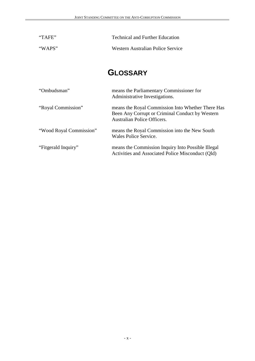| "TAFE"                  | <b>Technical and Further Education</b>                                                                                                     |  |
|-------------------------|--------------------------------------------------------------------------------------------------------------------------------------------|--|
| "WAPS"                  | <b>Western Australian Police Service</b>                                                                                                   |  |
|                         | <b>GLOSSARY</b>                                                                                                                            |  |
| "Ombudsman"             | means the Parliamentary Commissioner for<br>Administrative Investigations.                                                                 |  |
| "Royal Commission"      | means the Royal Commission Into Whether There Has<br>Been Any Corrupt or Criminal Conduct by Western<br><b>Australian Police Officers.</b> |  |
| "Wood Royal Commission" | means the Royal Commission into the New South<br>Wales Police Service.                                                                     |  |
| "Fitgerald Inquiry"     | means the Commission Inquiry Into Possible Illegal<br>Activities and Associated Police Misconduct (Qld)                                    |  |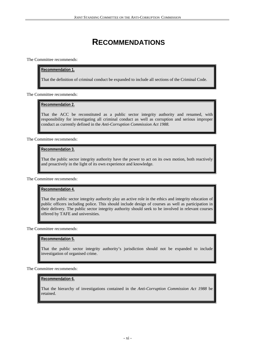## **RECOMMENDATIONS**

The Committee recommends:

#### **Recommendation 1.**

That the definition of criminal conduct be expanded to include all sections of the Criminal Code.

The Committee recommends:

#### **Recommendation 2.**

That the ACC be reconstituted as a public sector integrity authority and renamed, with responsibility for investigating all criminal conduct as well as corruption and serious improper conduct as currently defined in the *Anti-Corruption Commission Act 1988.*

The Committee recommends:

#### **Recommendation 3.**

That the public sector integrity authority have the power to act on its own motion, both reactively and proactively in the light of its own experience and knowledge.

The Committee recommends:

#### **Recommendation 4.**

That the public sector integrity authority play an active role in the ethics and integrity education of public officers including police. This should include design of courses as well as participation in their delivery. The public sector integrity authority should seek to be involved in relevant courses offered by TAFE and universities.

The Committee recommends:

#### **Recommendation 5.**

That the public sector integrity authority's jurisdiction should not be expanded to include investigation of organised crime.

The Committee recommends:

#### **Recommendation 6.**

That the hierarchy of investigations contained in the *Anti-Corruption Commission Act 1988* be retained.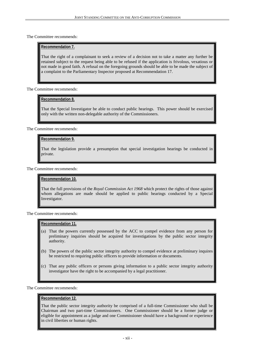The Committee recommends:

#### **Recommendation 7.**

That the right of a complainant to seek a review of a decision not to take a matter any further be retained subject to the request being able to be refused if the application is frivolous, vexatious or not made in good faith. A refusal on the foregoing grounds should be able to be made the subject of a complaint to the Parliamentary Inspector proposed at Recommendation 17.

The Committee recommends:

#### **Recommendation 8.**

That the Special Investigator be able to conduct public hearings. This power should be exercised only with the written non-delegable authority of the Commissioners.

The Committee recommends:

#### **Recommendation 9.**

That the legislation provide a presumption that special investigation hearings be conducted in private.

The Committee recommends:

#### **Recommendation 10.**

That the full provisions of the *Royal Commission Act 1968* which protect the rights of those against whom allegations are made should be applied to public hearings conducted by a Special Investigator.

The Committee recommends:

#### **Recommendation 11.**

- (a) That the powers currently possessed by the ACC to compel evidence from any person for preliminary inquiries should be acquired for investigations by the public sector integrity authority.
- (b) The powers of the public sector integrity authority to compel evidence at preliminary inquires be restricted to requiring public officers to provide information or documents.
- (c) That any public officers or persons giving information to a public sector integrity authority investigator have the right to be accompanied by a legal practitioner.

The Committee recommends:

#### **Recommendation 12.**

That the public sector integrity authority be comprised of a full-time Commissioner who shall be Chairman and two part-time Commissioners. One Commissioner should be a former judge or eligible for appointment as a judge and one Commissioner should have a background or experience in civil liberties or human rights.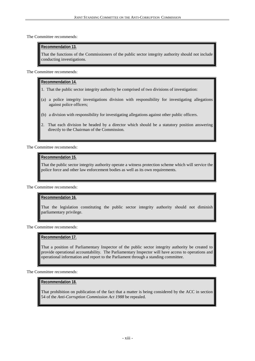The Committee recommends:

#### **Recommendation 13.**

That the functions of the Commissioners of the public sector integrity authority should not include conducting investigations.

The Committee recommends:

#### **Recommendation 14.**

- 1. That the public sector integrity authority be comprised of two divisions of investigation:
- (a) a police integrity investigations division with responsibility for investigating allegations against police officers;
- (b) a division with responsibility for investigating allegations against other public officers.
- 2. That each division be headed by a director which should be a statutory position answering directly to the Chairman of the Commission.

The Committee recommends:

#### **Recommendation 15.**

That the public sector integrity authority operate a witness protection scheme which will service the police force and other law enforcement bodies as well as its own requirements.

#### The Committee recommends:

#### **Recommendation 16.**

That the legislation constituting the public sector integrity authority should not diminish parliamentary privilege.

The Committee recommends:

#### **Recommendation 17.**

That a position of Parliamentary Inspector of the public sector integrity authority be created to provide operational accountability. The Parliamentary Inspector will have access to operations and operational information and report to the Parliament through a standing committee.

The Committee recommends:

#### **Recommendation 18.**

That prohibition on publication of the fact that a matter is being considered by the ACC in section 54 of the *Anti-Corruption Commission Act 1988* be repealed.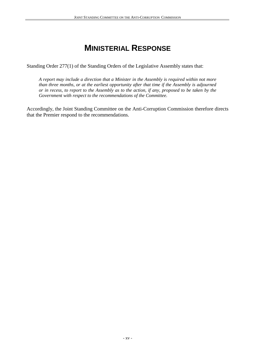## **MINISTERIAL RESPONSE**

Standing Order 277(1) of the Standing Orders of the Legislative Assembly states that:

*A report may include a direction that a Minister in the Assembly is required within not more than three months, or at the earliest opportunity after that time if the Assembly is adjourned or in recess, to report to the Assembly as to the action, if any, proposed to be taken by the Government with respect to the recommendations of the Committee.*

Accordingly, the Joint Standing Committee on the Anti-Corruption Commission therefore directs that the Premier respond to the recommendations.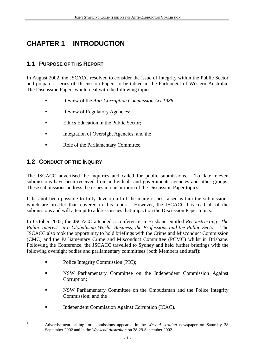## **CHAPTER 1 INTRODUCTION**

### **1.1 PURPOSE OF THIS REPORT**

In August 2002, the JSCACC resolved to consider the issue of Integrity within the Public Sector and prepare a series of Discussion Papers to be tabled in the Parliament of Western Australia. The Discussion Papers would deal with the following topics:

- ! Review of the *Anti-Corruption Commission Act 1988*;
- **Exercise** Review of Regulatory Agencies;
- Ethics Education in the Public Sector;
- ! Integration of Oversight Agencies; and the
- ! Role of the Parliamentary Committee.

### **1.2 CONDUCT OF THE INQUIRY**

 $\frac{1}{1}$ 

The JSCACC advertised the inquiries and called for public submissions. $1$  To date, eleven submissions have been received from individuals and governments agencies and other groups. These submissions address the issues in one or more of the Discussion Paper topics.

It has not been possible to fully develop all of the many issues raised within the submissions which are broader than covered in this report. However, the JSCACC has read all of the submissions and will attempt to address issues that impact on the Discussion Paper topics.

In October 2002, the JSCACC attended a conference in Brisbane entitled *Reconstructing 'The Public Interest' in a Globalising World; Business, the Professions and the Public Sector.* The JSCACC also took the opportunity to hold briefings with the Crime and Misconduct Commission (CMC) and the Parliamentary Crime and Misconduct Committee (PCMC) whilst in Brisbane. Following the Conference, the JSCACC travelled to Sydney and held further briefings with the following oversight bodies and parliamentary committees (both Members and staff):

- Police Integrity Commission (PIC);
- ! NSW Parliamentary Committee on the Independent Commission Against Corruption;
- ! NSW Parliamentary Committee on the Ombudsman and the Police Integrity Commission; and the
- ! Independent Commission Against Corruption (ICAC).

Advertisement calling for submissions appeared in the *West Australian* newspaper on Saturday 28 September 2002 and in the *Weekend Australian* on 28-29 September 2002.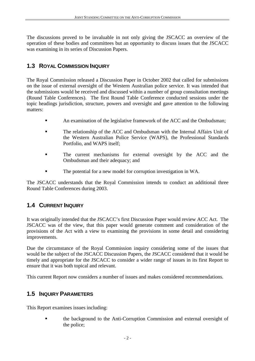The discussions proved to be invaluable in not only giving the JSCACC an overview of the operation of these bodies and committees but an opportunity to discuss issues that the JSCACC was examining in its series of Discussion Papers.

### **1.3 ROYAL COMMISSION INQUIRY**

The Royal Commission released a Discussion Paper in October 2002 that called for submissions on the issue of external oversight of the Western Australian police service. It was intended that the submissions would be received and discussed within a number of group consultation meetings (Round Table Conferences). The first Round Table Conference conducted sessions under the topic headings jurisdiction, structure, powers and oversight and gave attention to the following matters:

- An examination of the legislative framework of the ACC and the Ombudsman;
- ! The relationship of the ACC and Ombudsman with the Internal Affairs Unit of the Western Australian Police Service (WAPS), the Professional Standards Portfolio, and WAPS itself;
- The current mechanisms for external oversight by the ACC and the Ombudsman and their adequacy; and
- ! The potential for a new model for corruption investigation in WA.

The JSCACC understands that the Royal Commission intends to conduct an additional three Round Table Conferences during 2003.

### **1.4 CURRENT INQUIRY**

It was originally intended that the JSCACC's first Discussion Paper would review ACC Act. The JSCACC was of the view, that this paper would generate comment and consideration of the provisions of the Act with a view to examining the provisions in some detail and considering improvements.

Due the circumstance of the Royal Commission inquiry considering some of the issues that would be the subject of the JSCACC Discussion Papers, the JSCACC considered that it would be timely and appropriate for the JSCACC to consider a wider range of issues in its first Report to ensure that it was both topical and relevant.

This current Report now considers a number of issues and makes considered recommendations.

### **1.5 INQUIRY PARAMETERS**

This Report examines issues including:

! the background to the Anti-Corruption Commission and external oversight of the police;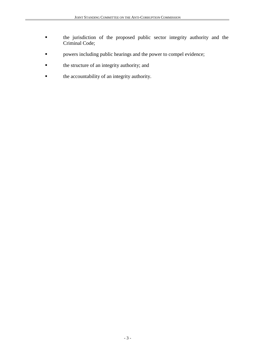- ! the jurisdiction of the proposed public sector integrity authority and the Criminal Code;
- ! powers including public hearings and the power to compel evidence;
- ! the structure of an integrity authority; and
- ! the accountability of an integrity authority.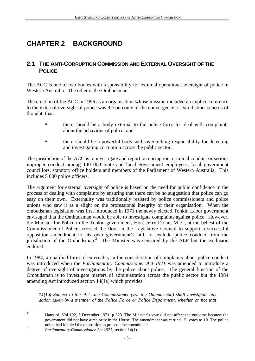## **CHAPTER 2 BACKGROUND**

### **2.1 THE ANTI-CORRUPTION COMMISSION AND EXTERNAL OVERSIGHT OF THE POLICE**

The ACC is one of two bodies with responsibility for external operational oversight of police in Western Australia. The other is the Ombudsman.

The creation of the ACC in 1996 as an organisation whose mission included an explicit reference to the external oversight of police was the outcome of the convergence of two distinct schools of thought, that:

- there should be a body external to the police force to deal with complaints about the behaviour of police; and
- ! there should be a powerful body with overarching responsibility for detecting and investigating corruption across the public sector.

The jurisdiction of the ACC is to investigate and report on corruption, criminal conduct or serious improper conduct among 140 000 State and local government employees, local government councillors, statutory office holders and members of the Parliament of Western Australia. This includes 5 000 police officers.

The argument for external oversight of police is based on the need for public confidence in the process of dealing with complaints by ensuring that there can be no suggestion that police can go easy on their own. Externality was traditionally resisted by police commissioners and police unions who saw it as a slight on the professional integrity of their organisation. When the ombudsman legislation was first introduced in 1971 the newly elected Tonkin Labor government envisaged that the Ombudsman would be able to investigate complaints against police. However, the Minister for Police in the Tonkin government, Hon. Jerry Dolan, MLC, at the behest of the Commissioner of Police, crossed the floor in the Legislative Council to support a successful opposition amendment to his own government's bill, to exclude police conduct from the jurisdiction of the Ombudsman.<sup>2</sup> The Minister was censured by the ALP but the exclusion endured.

In 1984, a qualified form of externality in the consideration of complaints about police conduct was introduced when the *Parliamentary Commissioner Act 1971* was amended to introduce a degree of oversight of investigations by the police about police. The general function of the Ombudsman is to investigate matters of administration across the public sector but the 1984 amending Act introduced section  $14(1a)$  which provides:  $3$ 

*14(1a) Subject to this Act…the Commissioner (viz. the Ombudsman) shall investigate any action taken by a member of the Police Force or Police Department, whether or not that*

 Hansard, Vol 192, 3 December 1971, p 823. The Minister's vote did not affect the outcome because the government did not have a majority in the House. The amendment was carried 15 votes to 10. The police union had lobbied the opposition to propose the amendment. <sup>3</sup> *Parliamentary Commissioner Act 1971*, section 14(1).

 $\frac{1}{2}$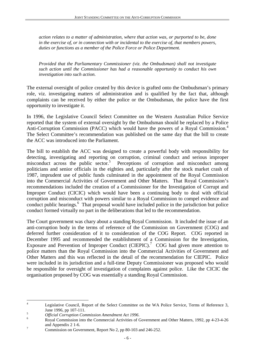*action relates to a matter of administration, where that action was, or purported to be, done in the exercise of, or in connection with or incidental to the exercise of, that members powers, duties or functions as a member of the Police Force or Police Department.*

*Provided that the Parliamentary Commissioner (viz. the Ombudsman) shall not investigate such action until the Commissioner has had a reasonable opportunity to conduct his own investigation into such action.*

The external oversight of police created by this device is grafted onto the Ombudsman's primary role, viz. investigating matters of administration and is qualified by the fact that, although complaints can be received by either the police or the Ombudsman, the police have the first opportunity to investigate it.

In 1996, the Legislative Council Select Committee on the Western Australian Police Service reported that the system of external oversight by the Ombudsman should be replaced by a Police Anti-Corruption Commission (PACC) which would have the powers of a Royal Commission.<sup>4</sup> The Select Committee's recommendation was published on the same day that the bill to create the ACC was introduced into the Parliament.

The bill to establish the ACC was designed to create a powerful body with responsibility for detecting, investigating and reporting on corruption, criminal conduct and serious improper misconduct across the public sector.<sup>5</sup> Perceptions of corruption and misconduct among politicians and senior officials in the eighties and, particularly after the stock market crash of 1987, imprudent use of public funds culminated in the appointment of the Royal Commission into the Commercial Activities of Government and Other Matters. That Royal Commission's recommendations included the creation of a Commissioner for the Investigation of Corrupt and Improper Conduct (CICIC) which would have been a continuing body to deal with official corruption and misconduct with powers similar to a Royal Commission to compel evidence and conduct public hearings.<sup>6</sup> That proposal would have included police in the jurisdiction but police conduct formed virtually no part in the deliberations that led to the recommendation.

The Court government was chary about a standing Royal Commission. It included the issue of an anti-corruption body in the terms of reference of the Commission on Government (COG) and deferred further consideration of it to consideration of the COG Report. COG reported in December 1995 and recommended the establishment of a Commission for the Investigation, Exposure and Prevention of Improper Conduct (CIEPIC).<sup>7</sup> COG had given more attention to police matters than the Royal Commission into the Commercial Activities of Government and Other Matters and this was reflected in the detail of the recommendation for CIEPIC. Police were included in its jurisdiction and a full-time Deputy Commissioner was proposed who would be responsible for oversight of investigation of complaints against police. Like the CICIC the organisation proposed by COG was essentially a standing Royal Commission.

 $\frac{1}{4}$ Legislative Council, Report of the Select Committee on the WA Police Service, Terms of Reference 3,

June 1996, pp 107-111. <sup>5</sup> *Official Corruption Commission Amendment Act 1996*. <sup>6</sup>

Royal Commission into the Commercial Activities of Government and Other Matters, 1992, pp 4-23-4-26 and Appendix 2 1-6.

Commission on Government, Report No 2, pp 80-103 and 246-252.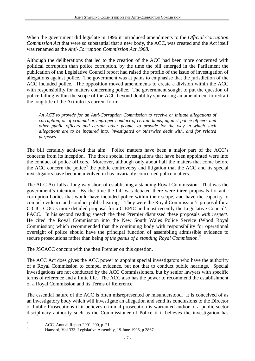When the government did legislate in 1996 it introduced amendments to the *Official Corruption Commission Act* that were so substantial that a new body, the ACC, was created and the Act itself was renamed as the *Anti-Corruption Commission Act 1988*.

Although the deliberations that led to the creation of the ACC had been more concerned with political corruption than police corruption, by the time the bill emerged in the Parliament the publication of the Legislative Council report had raised the profile of the issue of investigation of allegations against police. The government was at pains to emphasise that the jurisdiction of the ACC included police. The opposition moved amendments to create a division within the ACC with responsibility for matters concerning police. The government sought to put the question of police falling within the scope of the ACC beyond doubt by sponsoring an amendment to redraft the long title of the Act into its current form:

*An ACT to provide for an Anti-Corruption Commission to receive or initiate allegations of corruption, or of criminal or improper conduct of certain kinds, against police officers and other public officers and certain other people, to provide for the way in which such allegations are to be inquired into, investigated or otherwise dealt with, and for related purposes.*

The bill certainly achieved that aim. Police matters have been a major part of the ACC's concerns from its inception. The three special investigations that have been appointed were into the conduct of police officers. Moreover, although only about half the matters that come before the ACC concern the police<sup>8</sup> the public controversy and litigation that the ACC and its special investigators have become involved in has invariably concerned police matters.

The ACC Act falls a long way short of establishing a standing Royal Commission. That was the government's intention. By the time the bill was debated there were three proposals for anticorruption bodies that would have included police within their scope, and have the capacity to compel evidence and conduct public hearings. They were the Royal Commission's proposal for a CICIC, COG's more detailed proposal for a CIEPIC and most recently the Legislative Council's PACC. In his second reading speech the then Premier dismissed these proposals *with respect*. He cited the Royal Commission into the New South Wales Police Service (Wood Royal Commission) which recommended that the continuing body with responsibility for operational oversight of police should have the principal function of assembling admissible evidence to secure prosecutions rather than being *of the genus of a standing Royal Commission.<sup>9</sup>*

The JSCACC concurs with the then Premier on this question.

The ACC Act does gives the ACC power to appoint special investigators who have the authority of a Royal Commission to compel evidence, but not that to conduct public hearings. Special investigations are not conducted by the ACC Commissioners, but by senior lawyers with specific terms of reference and a finite life. The ACC also has the power to recommend the establishment of a Royal Commission and its Terms of Reference.

The essential nature of the ACC is often misrepresented or misunderstood. It is conceived of as an investigatory body which will investigate an allegation and send its conclusions to the Director of Public Prosecutions if it believes criminal prosecution is warranted and/or to a public sector disciplinary authority such as the Commissioner of Police if it believes the investigation has

 8 ACC, Annual Report 2001-200, p. 21.

 $\overline{Q}$ Hansard, Vol 333, Legislative Assembly, 19 June 1996, p 2867.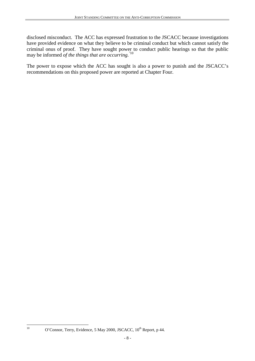disclosed misconduct. The ACC has expressed frustration to the JSCACC because investigations have provided evidence on what they believe to be criminal conduct but which cannot satisfy the criminal onus of proof. They have sought power to conduct public hearings so that the public may be informed *of the things that are occurring.'*<sup>10</sup>

The power to expose which the ACC has sought is also a power to punish and the JSCACC's recommendations on this proposed power are reported at Chapter Four.

 $10$ 

O'Connor, Terry, Evidence, 5 May 2000, JSCACC, 10<sup>th</sup> Report, p 44.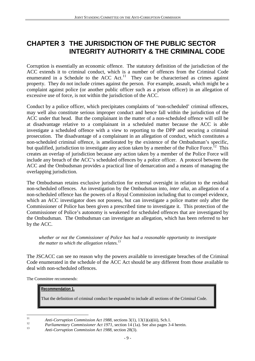### **CHAPTER 3 THE JURISDICTION OF THE PUBLIC SECTOR INTEGRITY AUTHORITY & THE CRIMINAL CODE**

Corruption is essentially an economic offence. The statutory definition of the jurisdiction of the ACC extends it to criminal conduct, which is a number of offences from the Criminal Code enumerated in a Schedule to the  $\angle$ ACC Act.<sup>11</sup> They can be characterised as crimes against property. They do not include crimes against the person. For example, assault, which might be a complaint against police (or another public officer such as a prison officer) in an allegation of excessive use of force, is not within the jurisdiction of the ACC.

Conduct by a police officer, which precipitates complaints of 'non-scheduled' criminal offences, may well also constitute serious improper conduct and hence fall within the jurisdiction of the ACC under that head. But the complainant in the matter of a non-scheduled offence will still be at disadvantage relative to a complainant in a scheduled matter because the ACC is able investigate a scheduled offence with a view to reporting to the DPP and securing a criminal prosecution. The disadvantage of a complainant in an allegation of conduct, which constitutes a non-scheduled criminal offence, is ameliorated by the existence of the Ombudsman's specific, but qualified, jurisdiction to investigate any action taken by a member of the Police Force.<sup>12</sup> This creates an overlap of jurisdiction because any action taken by a member of the Police Force will include any breach of the ACC's scheduled offences by a police officer. A protocol between the ACC and the Ombudsman provides a practical line of demarcation and a means of managing the overlapping jurisdiction.

The Ombudsman retains exclusive jurisdiction for external oversight in relation to the residual non-scheduled offences. An investigation by the Ombudsman into, *inter alia*, an allegation of a non-scheduled offence has the powers of a Royal Commission including that to compel evidence, which an ACC investigator does not possess, but can investigate a police matter only after the Commissioner of Police has been given a prescribed time to investigate it. This protection of the Commissioner of Police's autonomy is weakened for scheduled offences that are investigated by the Ombudsman. The Ombudsman can investigate an allegation, which has been referred to her by the ACC.

*whether or not the Commissioner of Police has had a reasonable opportunity to investigate the matter to which the allegation relates.*<sup>13</sup>

The JSCACC can see no reason why the powers available to investigate breaches of the Criminal Code enumerated in the schedule of the ACC Act should be any different from those available to deal with non-scheduled offences.

The Committee recommends:

#### **Recommendation 1.**

That the definition of criminal conduct be expanded to include all sections of the Criminal Code.

 $11$ 

<sup>&</sup>lt;sup>11</sup> Anti-Corruption Commission Act 1988, sections 3(1), 13(1)(a)(iii), Sch.1.<br><sup>12</sup> Parliamentary Commissioner Act 1971, section 14 (1a). See also pages 3-4 herein.<br><sup>13</sup> Anti-Corruption Commission Act 1988, section 28(3).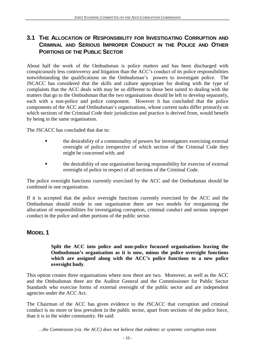### **3.1 THE ALLOCATION OF RESPONSIBILITY FOR INVESTIGATING CORRUPTION AND CRIMINAL AND SERIOUS IMPROPER CONDUCT IN THE POLICE AND OTHER PORTIONS OF THE PUBLIC SECTOR**

About half the work of the Ombudsman is police matters and has been discharged with conspicuously less controversy and litigation than the ACC's conduct of its police responsibilities notwithstanding the qualifications on the Ombudsman's powers to investigate police. The JSCACC has considered that the skills and culture appropriate for dealing with the type of complaints that the ACC deals with may be so different to those best suited to dealing with the matters that go to the Ombudsman that the two organisations should be left to develop separately, each with a non-police and police component. However it has concluded that the police components of the ACC and Ombudsman's organisations, whose current tasks differ primarily on which sections of the Criminal Code their jurisdiction and practice is derived from, would benefit by being in the same organisation.

The JSCACC has concluded that due to:

- ! the desirability of a commonality of powers for investigators exercising external oversight of police irrespective of which section of the Criminal Code they might be concerned with; and
- ! the desirability of one organisation having responsibility for exercise of external oversight of police in respect of all sections of the Criminal Code.

The police oversight functions currently exercised by the ACC and the Ombudsman should be combined in one organisation.

If it is accepted that the police oversight functions currently exercised by the ACC and the Ombudsman should reside in one organisation there are two models for reorganising the allocation of responsibilities for investigating corruption, criminal conduct and serious improper conduct in the police and other portions of the public sector.

### **MODEL 1**

#### **Split the ACC into police and non-police focussed organisations leaving the Ombudsman's organisation as it is now, minus the police oversight functions which are assigned along with the ACC's police functions to a new police oversight body**.

This option creates three organisations where now there are two. Moreover, as well as the ACC and the Ombudsman there are the Auditor General and the Commissioner for Public Sector Standards who exercise forms of external oversight of the public sector and are independent agencies under the ACC Act.

The Chairman of the ACC has given evidence to the JSCACC that corruption and criminal conduct is no more or less prevalent in the public sector, apart from sections of the police force, than it is in the wider community. He said: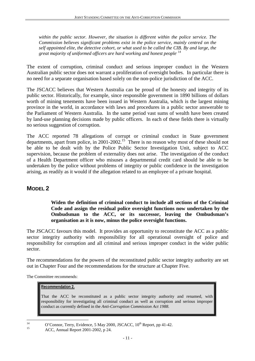*within the public sector. However, the situation is different within the police service. The Commission believes significant problems exist in the police service, mainly centred on the self appointed elite, the detective cohort, or what used to be called the CIB. By and large, the great majority of uniformed officers are hard working and honest people*. 14

The extent of corruption, criminal conduct and serious improper conduct in the Western Australian public sector does not warrant a proliferation of oversight bodies. In particular there is no need for a separate organisation based solely on the non-police jurisdiction of the ACC.

The JSCACC believes that Western Australia can be proud of the honesty and integrity of its public sector. Historically, for example, since responsible government in 1890 billions of dollars worth of mining tenements have been issued in Western Australia, which is the largest mining province in the world, in accordance with laws and procedures in a public sector answerable to the Parliament of Western Australia. In the same period vast sums of wealth have been created by land-use planning decisions made by public officers. In each of these fields there is virtually no serious suggestion of corruption.

The ACC reported 78 allegations of corrupt or criminal conduct in State government departments, apart from police, in 2001-2002.<sup>15</sup> There is no reason why most of these should not be able to be dealt with by the Police Public Sector Investigation Unit, subject to ACC supervision, because the problem of externality does not arise. The investigation of the conduct of a Health Department officer who misuses a departmental credit card should be able to be undertaken by the police without problems of integrity or public confidence in the investigation arising, as readily as it would if the allegation related to an employee of a private hospital.

### **MODEL 2**

**Widen the definition of criminal conduct to include all sections of the Criminal Code and assign the residual police oversight functions now undertaken by the Ombudsman to the ACC, or its successor, leaving the Ombudsman's organisation as it is now, minus the police oversight functions.**

The JSCACC favours this model. It provides an opportunity to reconstitute the ACC as a public sector integrity authority with responsibility for all operational oversight of police and responsibility for corruption and all criminal and serious improper conduct in the wider public sector.

The recommendations for the powers of the reconstituted public sector integrity authority are set out in Chapter Four and the recommendations for the structure at Chapter Five.

The Committee recommends:

#### **Recommendation 2.**

That the ACC be reconstituted as a public sector integrity authority and renamed, with responsibility for investigating all criminal conduct as well as corruption and serious improper conduct as currently defined in the *Anti-Corruption Commission Act 1988*.

 $14$ 

<sup>&</sup>lt;sup>14</sup> O'Connor, Terry, Evidence, 5 May 2000, JSCACC,  $10^{th}$  Report, pp 41-42.<br>ACC, Annual Report 2001-2002, p 24.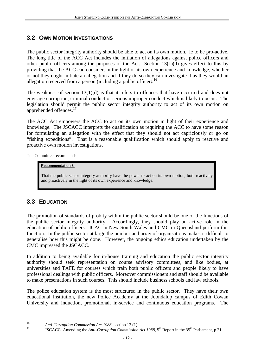### **3.2 OWN MOTION INVESTIGATIONS**

The public sector integrity authority should be able to act on its own motion. ie to be pro-active. The long title of the ACC Act includes the initiation of allegations against police officers and other public officers among the purposes of the Act. Section 13(1)(d) gives effect to this by providing that the ACC can consider, in the light of its own experience and knowledge, whether or not they ought initiate an allegation and if they do so they can investigate it as they would an allegation received from a person (including a public officer*).*<sup>16</sup>

The weakness of section 13(1)(d) is that it refers to offences that have occurred and does not envisage corruption, criminal conduct or serious improper conduct which is likely to occur. The legislation should permit the public sector integrity authority to act of its own motion on apprehended offences.<sup>17</sup>

The ACC Act empowers the ACC to act on its own motion in light of their experience and knowledge. The JSCACC interprets the qualification as requiring the ACC to have some reason for formulating an allegation with the effect that they should not act capriciously or go on "fishing expeditions". That is a reasonable qualification which should apply to reactive and proactive own motion investigations.

The Committee recommends:

#### **Recommendation 3.**

That the public sector integrity authority have the power to act on its own motion, both reactively and proactively in the light of its own experience and knowledge.

### **3.3 EDUCATION**

The promotion of standards of probity within the public sector should be one of the functions of the public sector integrity authority. Accordingly, they should play an active role in the education of public officers. ICAC in New South Wales and CMC in Queensland perform this function. In the public sector at large the number and array of organisations makes it difficult to generalise how this might be done. However, the ongoing ethics education undertaken by the CMC impressed the JSCACC.

In addition to being available for in-house training and education the public sector integrity authority should seek representation on course advisory committees, and like bodies, at universities and TAFE for courses which train both public officers and people likely to have professional dealings with public officers. Moreover commissioners and staff should be available to make presentations in such courses. This should include business schools and law schools.

The police education system is the most structured in the public sector. They have their own educational institution, the new Police Academy at the Joondalup campus of Edith Cowan University and induction, promotional, in-service and continuous education programs. The

 $16$ 

<sup>&</sup>lt;sup>16</sup> *Anti-Corruption Commission Act 1988,* section 13 (1).<br><sup>17</sup> JSCACC, Amending the *Anti-Corruption Commission Act 1988*, 5<sup>th</sup> Report in the 35<sup>th</sup> Parliament, p 21.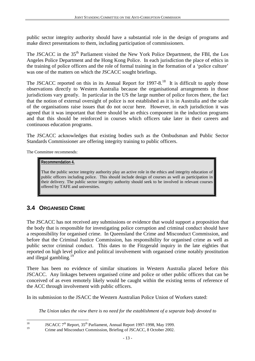public sector integrity authority should have a substantial role in the design of programs and make direct presentations to them, including participation of commissioners.

The JSCACC in the 35<sup>th</sup> Parliament visited the New York Police Department, the FBI, the Los Angeles Police Department and the Hong Kong Police. In each jurisdiction the place of ethics in the training of police officers and the role of formal training in the formation of a 'police culture' was one of the matters on which the JSCACC sought briefings.

The JSCACC reported on this in its Annual Report for  $1997-8$ .<sup>18</sup> It is difficult to apply those observations directly to Western Australia because the organisational arrangements in those jurisdictions vary greatly. In particular in the US the large number of police forces there, the fact that the notion of external oversight of police is not established as it is in Australia and the scale of the organisations raise issues that do not occur here. However, in each jurisdiction it was agreed that it was important that there should be an ethics component in the induction programs and that this should be reinforced in courses which officers take later in their careers and continuous education programs.

The JSCACC acknowledges that existing bodies such as the Ombudsman and Public Sector Standards Commissioner are offering integrity training to public officers.

The Committee recommends:

#### **Recommendation 4.**

That the public sector integrity authority play an active role in the ethics and integrity education of public officers including police. This should include design of courses as well as participation in their delivery. The public sector integrity authority should seek to be involved in relevant courses offered by TAFE and universities.

### **3.4 ORGANISED CRIME**

The JSCACC has not received any submissions or evidence that would support a proposition that the body that is responsible for investigating police corruption and criminal conduct should have a responsibility for organised crime. In Queensland the Crime and Misconduct Commission, and before that the Criminal Justice Commission, has responsibility for organised crime as well as public sector criminal conduct. This dates to the Fitzgerald inquiry in the late eighties that reported on high level police and political involvement with organised crime notably prostitution and illegal gambling.<sup>19</sup>

There has been no evidence of similar situations in Western Australia placed before this JSCACC. Any linkages between organised crime and police or other public officers that can be conceived of as even remotely likely would be caught within the existing terms of reference of the ACC through involvement with public officers.

In its submission to the JSACC the Western Australian Police Union of Workers stated:

*The Union takes the view there is no need for the establishment of a separate body devoted to*

<sup>18</sup> <sup>18</sup> JSCACC 7<sup>th</sup> Report,  $35<sup>th</sup>$  Parliament, Annual Report 1997-1998, May 1999.

Crime and Misconduct Commission, Briefing of JSCACC, 8 October 2002.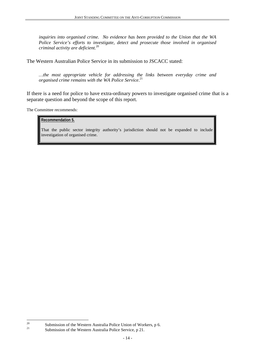*inquiries into organised crime. No evidence has been provided to the Union that the WA Police Service's efforts to investigate, detect and prosecute those involved in organised criminal activity are deficient.*<sup>20</sup>

The Western Australian Police Service in its submission to JSCACC stated:

*…the most appropriate vehicle for addressing the links between everyday crime and organised crime remains with the WA Police Service*. 21

If there is a need for police to have extra-ordinary powers to investigate organised crime that is a separate question and beyond the scope of this report.

The Committee recommends:

#### **Recommendation 5.**

That the public sector integrity authority's jurisdiction should not be expanded to include investigation of organised crime.

 $20$ 

<sup>&</sup>lt;sup>20</sup> Submission of the Western Australia Police Union of Workers, p 6.

Submission of the Western Australia Police Service, p 21.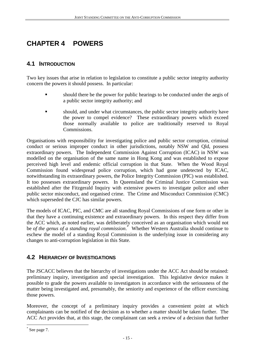## **CHAPTER 4 POWERS**

### **4.1 INTRODUCTION**

Two key issues that arise in relation to legislation to constitute a public sector integrity authority concern the powers it should possess. In particular:

- should there be the power for public hearings to be conducted under the aegis of a public sector integrity authority; and
- ! should, and under what circumstances, the public sector integrity authority have the power to compel evidence? These extraordinary powers which exceed those normally available to police are traditionally reserved to Royal Commissions.

Organisations with responsibility for investigating police and public sector corruption, criminal conduct or serious improper conduct in other jurisdictions, notably NSW and Qld, possess extraordinary powers. The Independent Commission Against Corruption (ICAC) in NSW was modelled on the organisation of the same name in Hong Kong and was established to expose perceived high level and endemic official corruption in that State. When the Wood Royal Commission found widespread police corruption, which had gone undetected by ICAC, notwithstanding its extraordinary powers, the Police Integrity Commission (PIC) was established. It too possesses extraordinary powers. In Queensland the Criminal Justice Commission was established after the Fitzgerald Inquiry with extensive powers to investigate police and other public sector misconduct, and organised crime. The Crime and Misconduct Commission (CMC) which superseded the CJC has similar powers.

The models of ICAC, PIC, and CMC are all standing Royal Commissions of one form or other in that they have a continuing existence and extraordinary powers. In this respect they differ from the ACC which, as noted earlier, was deliberately conceived as an organisation which would not be *of the genus of a standing royal commission*. \* Whether Western Australia should continue to eschew the model of a standing Royal Commission is the underlying issue in considering any changes to anti-corruption legislation in this State.

### **4.2 HIERARCHY OF INVESTIGATIONS**

The JSCACC believes that the hierarchy of investigations under the ACC Act should be retained: preliminary inquiry, investigation and special investigation. This legislative device makes it possible to grade the powers available to investigators in accordance with the seriousness of the matter being investigated and, presumably, the seniority and experience of the officer exercising those powers.

Moreover, the concept of a preliminary inquiry provides a convenient point at which complainants can be notified of the decision as to whether a matter should be taken further. The ACC Act provides that, at this stage, the complainant can seek a review of a decision that further

 $\overline{a}$ \* See page 7.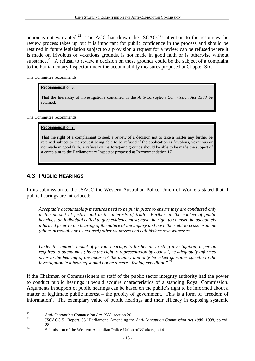action is not warranted.<sup>22</sup> The ACC has drawn the JSCACC's attention to the resources the review process takes up but it is important for public confidence in the process and should be retained in future legislation subject to a provision a request for a review can be refused where it is made on frivolous or vexatious grounds, is not made in good faith or is otherwise without substance.<sup>23</sup> A refusal to review a decision on these grounds could be the subject of a complaint to the Parliamentary Inspector under the accountability measures proposed at Chapter Six.

The Committee recommends:

#### **Recommendation 6.**

That the hierarchy of investigations contained in the *Anti-Corruption Commission Act 1988* be retained.

The Committee recommends:

#### **Recommendation 7.**

That the right of a complainant to seek a review of a decision not to take a matter any further be retained subject to the request being able to be refused if the application is frivolous, vexatious or not made in good faith. A refusal on the foregoing grounds should be able to be made the subject of a complaint to the Parliamentary Inspector proposed at Recommendation 17.

### **4.3 PUBLIC HEARINGS**

In its submission to the JSACC the Western Australian Police Union of Workers stated that if public hearings are introduced:

*Acceptable accountability measures need to be put in place to ensure they are conducted only in the pursuit of justice and in the interests of truth. Further, in the context of public hearings, an individual called to give evidence must; have the right to counsel, be adequately informed prior to the hearing of the nature of the inquiry and have the right to cross-examine (either personally or by counsel) other witnesses and call his/her own witnesses.*

*Under the union's model of private hearings to further an existing investigation, a person required to attend must; have the right to representation by counsel, be adequately informed prior to the hearing of the nature of the inquiry and only be asked questions specific to the* investigation ie a hearing should not be a mere "fishing expedition".<sup>2</sup>

If the Chairman or Commissioners or staff of the public sector integrity authority had the power to conduct public hearings it would acquire characteristics of a standing Royal Commission. Arguments in support of public hearings can be based on the public's right to be informed about a matter of legitimate public interest – the probity of government. This is a form of 'freedom of information'. The exemplary value of public hearings and their efficacy in exposing systemic

 $\overline{22}$ 

<sup>&</sup>lt;sup>22</sup> *Anti-Corruption Commission Act 1988*, section 20.<br><sup>23</sup> JSCACC 5<sup>th</sup> Report, 35<sup>th</sup> Parliament, Amending the *Anti-Corruption Commission Act 1988*, 1998, pp xvi,

<sup>28.&</sup>lt;br>
24 Submission of the Western Australian Police Union of Workers, p 14.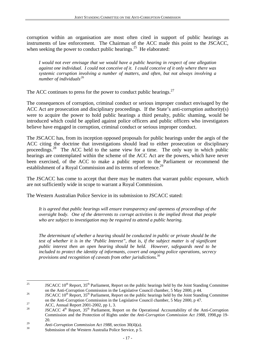corruption within an organisation are most often cited in support of public hearings as instruments of law enforcement. The Chairman of the ACC made this point to the JSCACC, when seeking the power to conduct public hearings.<sup>25</sup> He elaborated:

*I would not ever envisage that we would have a public hearing in respect of one allegation against one individual. I could not conceive of it. I could conceive of it only where there was systemic corruption involving a number of matters, and often, but not always involving a number of individuals*.26

The ACC continues to press for the power to conduct public hearings.<sup>27</sup>

The consequences of corruption, criminal conduct or serious improper conduct envisaged by the ACC Act are prosecution and disciplinary proceedings. If the State's anti-corruption authority(s) were to acquire the power to hold public hearings a third penalty, public shaming, would be introduced which could be applied against police officers and public officers who investigators believe have engaged in corruption, criminal conduct or serious improper conduct.

The JSCACC has, from its inception opposed proposals for public hearings under the aegis of the ACC citing the doctrine that investigations should lead to either prosecution or disciplinary proceedings.28 The ACC held to the same view for a time. The only way in which public hearings are contemplated within the scheme of the ACC Act are the powers, which have never been exercised, of the ACC to make a public report to the Parliament or recommend the establishment of a Royal Commission and its terms of reference.<sup>29</sup>

The JSCACC has come to accept that there may be matters that warrant public exposure, which are not sufficiently wide in scope to warrant a Royal Commission.

The Western Australian Police Service in its submission to JSCACC stated:

*It is agreed that public hearings will ensure transparency and openness of proceedings of the oversight body. One of the deterrents to corrupt activities is the implied threat that people who are subject to investigation may be required to attend a public hearing.*

*The determinant of whether a hearing should be conducted in public or private should be the test of whether it is in the 'Public Interest", that is, if the subject matter is of significant public interest then an open hearing should be held. However, safeguards need to be included to protect the identity of informants, covert and ongoing police operations, secrecy provisions and recognition of caveats from other jurisdictions.*<sup>30</sup>

 $25$ JSCACC  $10^{th}$  Report,  $35^{th}$  Parliament, Report on the public hearings held by the Joint Standing Committee on the Anti-Corruption Commission in the Legislative Council chamber, 5 May 2000, p 44.

<sup>&</sup>lt;sup>26</sup> ISCACC 10<sup>th</sup> Report, 35<sup>th</sup> Parliament, Report on the public hearings held by the Joint Standing Committee on the Anti-Corruption Commission in the Legislative Council chamber, 5 May 2000, p 47.<br>ACC, Annual Report 2001-2002, pp 1, 3.

JSCACC 4<sup>th</sup> Report, 35<sup>th</sup> Parliament, Report on the Operational Accountability of the Anti-Corruption Commission and the Protection of Rights under the *Anti-Corruption Commission Act 1988*, 1998,pp 19- 20.

<sup>&</sup>lt;sup>29</sup> *Anti-Corruption Commission Act 1988*, section 30(4)(a).<br>Submission of the Western Australia Police Service, p 5.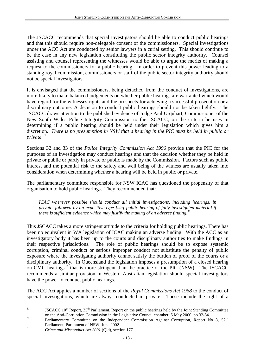The JSCACC recommends that special investigators should be able to conduct public hearings and that this should require non-delegable consent of the commissioners. Special investigations under the ACC Act are conducted by senior lawyers in a curial setting. This should continue to be the case in any new legislation constituting the public sector integrity authority. Counsel assisting and counsel representing the witnesses would be able to argue the merits of making a request to the commissioners for a public hearing. In order to prevent this power leading to a standing royal commission, commissioners or staff of the public sector integrity authority should not be special investigators.

It is envisaged that the commissioners, being detached from the conduct of investigations, are more likely to make balanced judgements on whether public hearings are warranted which would have regard for the witnesses rights and the prospects for achieving a successful prosecution or a disciplinary outcome. A decision to conduct public hearings should not be taken lightly. The JSCACC draws attention to the published evidence of Judge Paul Urquhart, Commissioner of the New South Wales Police Integrity Commission to the JSCACC, on the criteria he uses in determining if a public hearing should be held under their legislation which gives him a discretion*. There is no presumption in NSW that a hearing in the PIC must be held in public or private*. 31

Sections 32 and 33 of the *Police Integrity Commission Act 1996* provide that the PIC for the purposes of an investigation may conduct hearings and that the decision whether they be held in private or public or partly in private or public is made by the Commission. Factors such as public interest and the potential risk to the safety and well being of the witness are usually taken into consideration when determining whether a hearing will be held in public or private.

The parliamentary committee responsible for NSW ICAC has questioned the propensity of that organisation to hold public hearings. They recommended that:

*ICAC wherever possible should conduct all initial investigations, including hearings, in private, followed by an expositive-type [sic] public hearing of fully investigated material if there is sufficient evidence which may justify the making of an adverse finding.*<sup>32</sup>

This JSCACC takes a more stringent attitude to the criteria for holding public hearings. There has been no equivalent in WA legislation of ICAC making an adverse finding. With the ACC as an investigatory body it has been up to the courts and disciplinary authorities to make findings in their respective jurisdictions. The role of public hearings should be to expose systemic corruption, criminal conduct or serious improper conduct not substitute the penalty of public exposure where the investigating authority cannot satisfy the burden of proof of the courts or a disciplinary authority. In Queensland the legislation imposes a presumption of a closed hearing on CMC hearings<sup>33</sup> that is more stringent than the practice of the PIC (NSW). The JSCACC recommends a similar provision in Western Australian legislation should special investigators have the power to conduct public hearings.

The ACC Act applies a number of sections of the *Royal Commissions Act 1968* to the conduct of special investigations, which are always conducted in private. These include the right of a

 $31$ JSCACC  $10^{th}$  Report,  $35^{th}$  Parliament, Report on the public hearings held by the Joint Standing Committee on the Anti-Corruption Commission in the Legislative Council chamber, 5 May 2000, pp 32-34.

 $\overline{a}$ <sup>32</sup> Parliamentary Committee on the Independent Commission Against Corruption, Report No 8, 52<sup>nd</sup>

Parliament, Parliament of NSW, June 2002. <sup>33</sup> *Crime and Misconduct Act 2001* (Qld), section 177.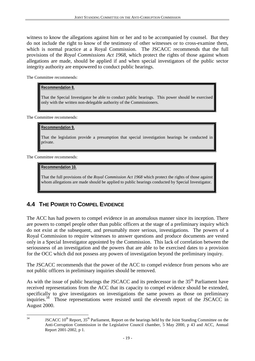witness to know the allegations against him or her and to be accompanied by counsel. But they do not include the right to know of the testimony of other witnesses or to cross-examine them, which is normal practice at a Royal Commission. The JSCACC recommends that the full provisions of the *Royal Commissions Act 1968*, which protect the rights of those against whom allegations are made, should be applied if and when special investigators of the public sector integrity authority are empowered to conduct public hearings.

The Committee recommends:

#### **Recommendation 8.**

That the Special Investigator be able to conduct public hearings. This power should be exercised only with the written non-delegable authority of the Commissioners.

The Committee recommends:

#### **Recommendation 9.**

That the legislation provide a presumption that special investigation hearings be conducted in private.

The Committee recommends:

#### **Recommendation 10.**

That the full provisions of the *Royal Commission Act 1968* which protect the rights of those against whom allegations are made should be applied to public hearings conducted by Special Investigator.

### **4.4 THE POWER TO COMPEL EVIDENCE**

The ACC has had powers to compel evidence in an anomalous manner since its inception. There are powers to compel people other than public officers at the stage of a preliminary inquiry which do not exist at the subsequent, and presumably more serious, investigations. The powers of a Royal Commission to require witnesses to answer questions and produce documents are vested only in a Special Investigator appointed by the Commission. This lack of correlation between the seriousness of an investigation and the powers that are able to be exercised dates to a provision for the OCC which did not possess any powers of investigation beyond the preliminary inquiry.

The JSCACC recommends that the power of the ACC to compel evidence from persons who are not public officers in preliminary inquiries should be removed.

As with the issue of public hearings the JSCACC and its predecessor in the 35<sup>th</sup> Parliament have received representations from the ACC that its capacity to compel evidence should be extended, specifically to give investigators on investigations the same powers as those on preliminary inquiries.<sup>34</sup> Those representations were resisted until the eleventh report of the JSCACC in August 2000.

 $34$ 

JSCACC 10<sup>th</sup> Report, 35<sup>th</sup> Parliament, Report on the hearings held by the Joint Standing Committee on the Anti-Corruption Commission in the Legislative Council chamber, 5 May 2000, p 43 and ACC, Annual Report 2001-2002, p 1.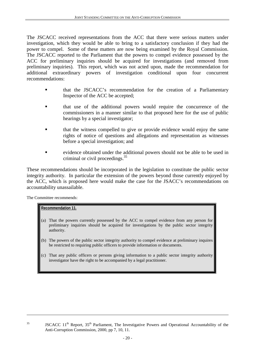The JSCACC received representations from the ACC that there were serious matters under investigation, which they would be able to bring to a satisfactory conclusion if they had the power to compel. Some of these matters are now being examined by the Royal Commission. The JSCACC reported to the Parliament that the powers to compel evidence possessed by the ACC for preliminary inquiries should be acquired for investigations (and removed from preliminary inquiries). This report, which was not acted upon, made the recommendation for additional extraordinary powers of investigation conditional upon four concurrent recommendations:

- that the JSCACC's recommendation for the creation of a Parliamentary Inspector of the ACC be accepted;
- ! that use of the additional powers would require the concurrence of the commissioners in a manner similar to that proposed here for the use of public hearings by a special investigator;
- that the witness compelled to give or provide evidence would enjoy the same rights of notice of questions and allegations and representation as witnesses before a special investigation; and
- ! evidence obtained under the additional powers should not be able to be used in criminal or civil proceedings.35

These recommendations should be incorporated in the legislation to constitute the public sector integrity authority. In particular the extension of the powers beyond those currently enjoyed by the ACC, which is proposed here would make the case for the JSACC's recommendations on accountability unassailable.

The Committee recommends:

 $\overline{a}$ 

#### **Recommendation 11.**

- (a) That the powers currently possessed by the ACC to compel evidence from any person for preliminary inquiries should be acquired for investigations by the public sector integrity authority.
- (b) The powers of the public sector integrity authority to compel evidence at preliminary inquires be restricted to requiring public officers to provide information or documents.
- (c) That any public officers or persons giving information to a public sector integrity authority investigator have the right to be accompanied by a legal practitioner.

 $35$  JSCACC 11<sup>th</sup> Report,  $35<sup>th</sup>$  Parliament, The Investigative Powers and Operational Accountability of the Anti-Corruption Commission, 2000, pp 7, 10, 11.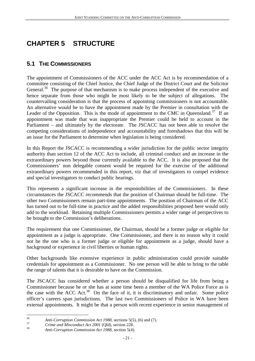## **CHAPTER 5 STRUCTURE**

### **5.1 THE COMMISSIONERS**

The appointment of Commissioners of the ACC under the ACC Act is by recommendation of a committee consisting of the Chief Justice, the Chief Judge of the District Court and the Solicitor General.<sup>36</sup> The purpose of that mechanism is to make process independent of the executive and hence separate from those who might be most likely to be the subject of allegations. The countervailing consideration is that the process of appointing commissioners is not accountable. An alternative would be to have the appointment made by the Premier in consultation with the Leader of the Opposition. This is the mode of appointment to the CMC in Queensland.<sup>37</sup> If an appointment was made that was inappropriate the Premier could be held to account in the Parliament – and ultimately by the electorate. The JSCACC has not been able to resolve the competing considerations of independence and accountability and foreshadows that this will be an issue for the Parliament to determine when legislation is being considered.

In this Report the JSCACC is recommending a wider jurisdiction for the public sector integrity authority than section 12 of the ACC Act to include, all criminal conduct and an increase in the extraordinary powers beyond those currently available to the ACC. It is also proposed that the Commissioners' non delegable consent would be required for the exercise of the additional extraordinary powers recommended in this report, viz that of investigators to compel evidence and special investigators to conduct public hearings.

This represents a significant increase in the responsibilities of the Commissioners. In these circumstances the JSCACC recommends that the position of Chairman should be full-time. The other two Commissioners remain part-time appointments. The position of Chairman of the ACC has turned out to be full-time in practice and the added responsibilities proposed here would only add to the workload. Retaining multiple Commissioners permits a wider range of perspectives to be brought to the Commission's deliberations.

The requirement that one Commissioner, the Chairman, should be a former judge or eligible for appointment as a judge is appropriate. One Commissioner, and there is no reason why it could not be the one who is a former judge or eligible for appointment as a judge, should have a background or experience in civil liberties or human rights.

Other backgrounds like extensive experience in public administration could provide suitable credentials for appointment as a Commissioner. No one person will be able to bring to the table the range of talents that it is desirable to have on the Commission.

The JSCACC has considered whether a person should be disqualified for life from being a Commissioner because he or she has at some time been a member of the WA Police Force as is the case with the ACC Act.<sup>38</sup> On the face of it, it is discriminatory and unfair. Some police officer's careers span jurisdictions. The last two Commissioners of Police in WA have been external appointments. It might be that a person with recent experience in senior management of

 $36$ 

<sup>36</sup> *Anti-Corruption Commission Act 1988*, sections 5(5), (6) and (7).<br> *Crime and Misconduct Act 2001* (Qld), section 228.<br> *Anti-Corruption Commission Act 1988*, section 5(4).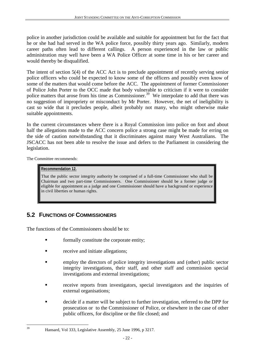police in another jurisdiction could be available and suitable for appointment but for the fact that he or she had had served in the WA police force, possibly thirty years ago. Similarly, modern career paths often lead to different callings. A person experienced in the law or public administration may well have been a WA Police Officer at some time in his or her career and would thereby be disqualified.

The intent of section 5(4) of the ACC Act is to preclude appointment of recently serving senior police officers who could be expected to know some of the officers and possibly even know of some of the matters that would come before the ACC. The appointment of former Commissioner of Police John Porter to the OCC made that body vulnerable to criticism if it were to consider police matters that arose from his time as Commissioner.<sup>39</sup> We interpolate to add that there was no suggestion of impropriety or misconduct by Mr Porter. However, the net of ineligibility is cast so wide that it precludes people, albeit probably not many, who might otherwise make suitable appointments.

In the current circumstances where there is a Royal Commission into police on foot and about half the allegations made to the ACC concern police a strong case might be made for erring on the side of caution notwithstanding that it discriminates against many West Australians. The JSCACC has not been able to resolve the issue and defers to the Parliament in considering the legislation.

The Committee recommends:

 $39$ 

#### **Recommendation 12.**

That the public sector integrity authority be comprised of a full-time Commissioner who shall be Chairman and two part-time Commissioners. One Commissioner should be a former judge or eligible for appointment as a judge and one Commissioner should have a background or experience in civil liberties or human rights.

### **5.2 FUNCTIONS OF COMMISSIONERS**

The functions of the Commissioners should be to:

- formally constitute the corporate entity;
- receive and initiate allegations;
- ! employ the directors of police integrity investigations and (other) public sector integrity investigations, their staff, and other staff and commission special investigations and external investigations;
- receive reports from investigators, special investigators and the inquiries of external organisations;
- ! decide if a matter will be subject to further investigation, referred to the DPP for prosecution or to the Commissioner of Police, or elsewhere in the case of other public officers, for discipline or the file closed; and

Hansard, Vol 333, Legislative Assembly, 25 June 1996, p 3217.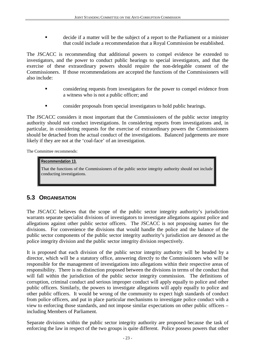! decide if a matter will be the subject of a report to the Parliament or a minister that could include a recommendation that a Royal Commission be established.

The JSCACC is recommending that additional powers to compel evidence be extended to investigators, and the power to conduct public hearings to special investigators, and that the exercise of these extraordinary powers should require the non-delegable consent of the Commissioners. If those recommendations are accepted the functions of the Commissioners will also include:

- ! considering requests from investigators for the power to compel evidence from a witness who is not a public officer; and
- ! consider proposals from special investigators to hold public hearings.

The JSCACC considers it most important that the Commissioners of the public sector integrity authority should not conduct investigations. In considering reports from investigations and, in particular, in considering requests for the exercise of extraordinary powers the Commissioners should be detached from the actual conduct of the investigations. Balanced judgements are more likely if they are not at the 'coal-face' of an investigation.

The Committee recommends:

#### **Recommendation 13.**

That the functions of the Commissioners of the public sector integrity authority should not include conducting investigations.

### **5.3 ORGANISATION**

The JSCACC believes that the scope of the public sector integrity authority's jurisdiction warrants separate specialist divisions of investigators to investigate allegations against police and allegations against other public sector officers. The JSCACC is not proposing names for the divisions. For convenience the divisions that would handle the police and the balance of the public sector components of the public sector integrity authority's jurisdiction are denoted as the police integrity division and the public sector integrity division respectively.

It is proposed that each division of the public sector integrity authority will be headed by a director, which will be a statutory office, answering directly to the Commissioners who will be responsible for the management of investigations into allegations within their respective areas of responsibility. There is no distinction proposed between the divisions in terms of the conduct that will fall within the jurisdiction of the public sector integrity commission. The definitions of corruption, criminal conduct and serious improper conduct will apply equally to police and other public officers. Similarly, the powers to investigate allegations will apply equally to police and other public officers. It would be wrong of the community to expect high standards of conduct from police officers, and put in place particular mechanisms to investigate police conduct with a view to enforcing those standards, and not impose similar expectations on other public officers – including Members of Parliament.

Separate divisions within the public sector integrity authority are proposed because the task of enforcing the law in respect of the two groups is quite different. Police possess powers that other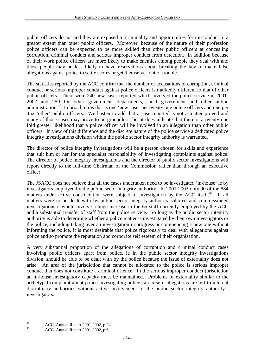public officers do not and they are exposed to criminality and opportunities for misconduct to a greater extent than other public officers. Moreover, because of the nature of their profession police officers can be expected to be more skilled than other public officers at concealing corruption, criminal conduct and serious improper conduct from detection. In addition because of their work police officers are more likely to make enemies among people they deal with and those people may be less likely to have reservations about breaking the law to make false allegations against police to settle scores or get themselves out of trouble.

The statistics reported by the ACC confirm that the number of accusations of corruption, criminal conduct or serious improper conduct against police officers is markedly different to that of other public officers. There were 240 new cases reported which involved the police service in 2001- 2002 and 259 for other government departments, local government and other public administration.40 In broad terms that is one 'new case' per twenty one police officers and one per 452 'other' public officers. We hasten to add that a case reported is not a matter proved and many of those cases may prove to be groundless, but it does indicate that there is a twenty one fold greater likelihood that a police officer will be involved in an allegation than other public officers. In view of this difference and the discrete nature of the police service a dedicated police integrity investigations division within the public sector integrity authority is warranted.

The director of police integrity investigations will be a person chosen for skills and experience that suit him or her for the specialist responsibility of investigating complaints against police. The director of police integrity investigations and the director of public sector investigations will report directly to the full-time Chairman of the Commission rather than through an executive officer.

The JSACC does not believe that all the cases undertaken need to be investigated 'in-house' ie by investigators employed by the public sector integrity authority. In 2001-2002 only 90 of the 884 matters under active consideration were subject of investigation by the ACC itself. $^{41}$  If all matters were to be dealt with by public sector integrity authority salaried and commissioned investigations it would involve a huge increase in the 65 staff currently employed by the ACC and a substantial transfer of staff from the police service. So long as the public sector integrity authority is able to determine whether a police matter is investigated by their own investigators or the police, including taking over an investigation in progress or commencing a new one without informing the police, it is most desirable that police rigorously to deal with allegations against police and so promote the reputation and corporate self esteem of their organisation.

A very substantial proportion of the allegations of corruption and criminal conduct cases involving public officers apart from police, ie in the public sector integrity investigations division, should be able to be dealt with by the police because the issue of externality does not arise. An area of the jurisdiction that cannot be allocated to the police is serious improper conduct that does not constitute a criminal offence. In the serious improper conduct jurisdiction an in-house investigatory capacity must be maintained. Problems of externality similar to the archetypal complaint about police investigating police can arise if allegations are left to internal disciplinary authorities without active involvement of the public sector integrity authority's investigators.

 $40$ 40 ACC, Annual Report 2001-2002, p 24.

<sup>41</sup> ACC, Annual Report 2001-2002, p 6.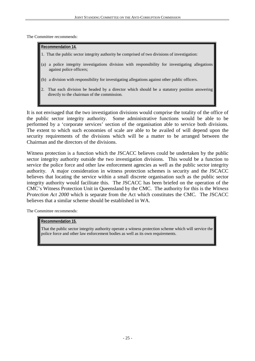The Committee recommends:

#### **Recommendation 14.**

- 1. That the public sector integrity authority be comprised of two divisions of investigation:
- (a) a police integrity investigations division with responsibility for investigating allegations against police officers;
- (b) a division with responsibility for investigating allegations against other public officers.
- 2. That each division be headed by a director which should be a statutory position answering directly to the chairman of the commission.

It is not envisaged that the two investigation divisions would comprise the totality of the office of the public sector integrity authority. Some administrative functions would be able to be performed by a 'corporate services' section of the organisation able to service both divisions. The extent to which such economies of scale are able to be availed of will depend upon the security requirements of the divisions which will be a matter to be arranged between the Chairman and the directors of the divisions.

Witness protection is a function which the JSCACC believes could be undertaken by the public sector integrity authority outside the two investigation divisions. This would be a function to service the police force and other law enforcement agencies as well as the public sector integrity authority. A major consideration in witness protection schemes is security and the JSCACC believes that locating the service within a small discrete organisation such as the public sector integrity authority would facilitate this. The JSCACC has been briefed on the operation of the CMC's Witness Protection Unit in Queensland by the CMC. The authority for this is the *Witness Protection Act 2000* which is separate from the Act which constitutes the CMC. The JSCACC believes that a similar scheme should be established in WA.

The Committee recommends:

#### **Recommendation 15.**

That the public sector integrity authority operate a witness protection scheme which will service the police force and other law enforcement bodies as well as its own requirements.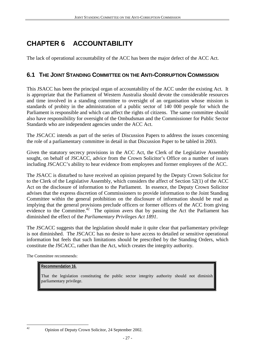## **CHAPTER 6 ACCOUNTABILITY**

The lack of operational accountability of the ACC has been the major defect of the ACC Act.

### **6.1 THE JOINT STANDING COMMITTEE ON THE ANTI-CORRUPTION COMMISSION**

This JSACC has been the principal organ of accountability of the ACC under the existing Act. It is appropriate that the Parliament of Western Australia should devote the considerable resources and time involved in a standing committee to oversight of an organisation whose mission is standards of probity in the administration of a public sector of 140 000 people for which the Parliament is responsible and which can affect the rights of citizens. The same committee should also have responsibility for oversight of the Ombudsman and the Commissioner for Public Sector Standards who are independent agencies under the ACC Act.

The JSCACC intends as part of the series of Discussion Papers to address the issues concerning the role of a parliamentary committee in detail in that Discussion Paper to be tabled in 2003.

Given the statutory secrecy provisions in the ACC Act, the Clerk of the Legislative Assembly sought, on behalf of JSCACC, advice from the Crown Solicitor's Office on a number of issues including JSCACC's ability to hear evidence from employees and former employees of the ACC.

The JSACC is disturbed to have received an opinion prepared by the Deputy Crown Solicitor for to the Clerk of the Legislative Assembly, which considers the affect of Section 52(1) of the ACC Act on the disclosure of information to the Parliament. In essence, the Deputy Crown Solicitor advises that the express discretion of Commissioners to provide information to the Joint Standing Committee within the general prohibition on the disclosure of information should be read as implying that the general provisions preclude officers or former officers of the ACC from giving evidence to the Committee.<sup>42</sup> The opinion avers that by passing the Act the Parliament has diminished the effect of the *Parliamentary Privileges Act 1891*.

The JSCACC suggests that the legislation should make it quite clear that parliamentary privilege is not diminished. The JSCACC has no desire to have access to detailed or sensitive operational information but feels that such limitations should be prescribed by the Standing Orders, which constitute the JSCACC, rather than the Act, which creates the integrity authority.

The Committee recommends:

#### **Recommendation 16.**

That the legislation constituting the public sector integrity authority should not diminish parliamentary privilege.

 $42$ 

<sup>42</sup> Opinion of Deputy Crown Solicitor, 24 September 2002.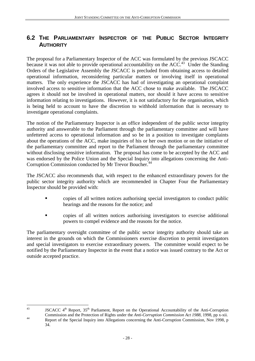### **6.2 THE PARLIAMENTARY INSPECTOR OF THE PUBLIC SECTOR INTEGRITY AUTHORITY**

The proposal for a Parliamentary Inspector of the ACC was formulated by the previous JSCACC because it was not able to provide operational accountability on the  $ACC<sup>43</sup>$  Under the Standing Orders of the Legislative Assembly the JSCACC is precluded from obtaining access to detailed operational information, reconsidering particular matters or involving itself in operational matters. The only experience the JSCACC has had of investigating an operational complaint involved access to sensitive information that the ACC chose to make available. The JSCACC agrees it should not be involved in operational matters, nor should it have access to sensitive information relating to investigations. However, it is not satisfactory for the organisation, which is being held to account to have the discretion to withhold information that is necessary to investigate operational complaints.

The notion of the Parliamentary Inspector is an office independent of the public sector integrity authority and answerable to the Parliament through the parliamentary committee and will have unfettered access to operational information and so be in a position to investigate complaints about the operations of the ACC, make inquiries of his or her own motion or on the initiative of the parliamentary committee and report to the Parliament through the parliamentary committee without disclosing sensitive information. The proposal has come to be accepted by the ACC and was endorsed by the Police Union and the Special Inquiry into allegations concerning the Anti-Corruption Commission conducted by Mr Trevor Boucher.<sup>44</sup>

The JSCACC also recommends that, with respect to the enhanced extraordinary powers for the public sector integrity authority which are recommended in Chapter Four the Parliamentary Inspector should be provided with:

- ! copies of all written notices authorising special investigators to conduct public hearings and the reasons for the notice; and
- ! copies of all written notices authorising investigators to exercise additional powers to compel evidence and the reasons for the notice.

The parliamentary oversight committee of the public sector integrity authority should take an interest in the grounds on which the Commissioners exercise discretion to permit investigators and special investigators to exercise extraordinary powers. The committee would expect to be notified by the Parliamentary Inspector in the event that a notice was issued contrary to the Act or outside accepted practice.

 $43$ JSCACC  $4^{\text{th}}$  Report,  $35^{\text{th}}$  Parliament, Report on the Operational Accountability of the Anti-Corruption Commission and the Protection of Rights under the *Anti-Corruption Commission Act 1988*, 1998, pp x-xii. Report of the Special Inquiry into Allegations concerning the Anti-Corruption Commission, Nov 1998, p 34.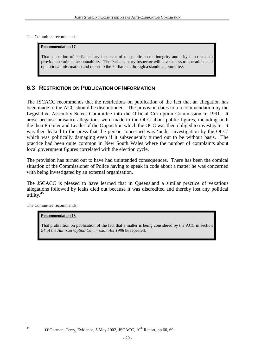The Committee recommends:

#### **Recommendation 17.**

That a position of Parliamentary Inspector of the public sector integrity authority be created to provide operational accountability. The Parliamentary Inspector will have access to operations and operational information and report to the Parliament through a standing committee.

### **6.3 RESTRICTION ON PUBLICATION OF INFORMATION**

The JSCACC recommends that the restrictions on publication of the fact that an allegation has been made to the ACC should be discontinued. The provision dates to a recommendation by the Legislative Assembly Select Committee into the Official Corruption Commission in 1991. It arose because nuisance allegations were made to the OCC about public figures, including both the then Premier and Leader of the Opposition which the OCC was then obliged to investigate. It was then leaked to the press that the person concerned was 'under investigation by the OCC' which was politically damaging even if it subsequently turned out to be without basis. The practice had been quite common in New South Wales where the number of complaints about local government figures correlated with the election cycle.

The provision has turned out to have had unintended consequences. There has been the comical situation of the Commissioner of Police having to speak in code about a matter he was concerned with being investigated by an external organisation.

The JSCACC is pleased to have learned that in Queensland a similar practice of vexatious allegations followed by leaks died out because it was discredited and thereby lost any political utility.<sup>45</sup>

The Committee recommends:

#### **Recommendation 18.**

That prohibition on publication of the fact that a matter is being considered by the ACC in section 54 of the *Anti-Corruption Commission Act 1988* be repealed.

 $45$ 

O'Gorman, Terry, Evidence, 5 May 2002, JSCACC,  $10^{th}$  Report, pp 66, 69.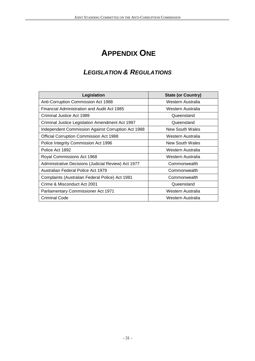## **APPENDIX ONE**

### **LEGISLATION & REGULATIONS**

| Legislation                                         | <b>State (or Country)</b> |  |
|-----------------------------------------------------|---------------------------|--|
| Anti-Corruption Commission Act 1988                 | Western Australia         |  |
| Financial Administration and Audit Act 1985         | Western Australia         |  |
| Criminal Justice Act 1989                           | Queensland                |  |
| Criminal Justice Legislation Amendment Act 1997     | Queensland                |  |
| Independent Commission Against Corruption Act 1988  | New South Wales           |  |
| <b>Official Corruption Commission Act 1988</b>      | Western Australia         |  |
| Police Integrity Commission Act 1996                | New South Wales           |  |
| Police Act 1892                                     | Western Australia         |  |
| Royal Commissions Act 1968                          | Western Australia         |  |
| Administrative Decisions (Judicial Review) Act 1977 | Commonwealth              |  |
| Australian Federal Police Act 1979                  | Commonwealth              |  |
| Complaints (Australian Federal Police) Act 1981     | Commonwealth              |  |
| Crime & Misconduct Act 2001                         | Queensland                |  |
| Parliamentary Commissioner Act 1971                 | Western Australia         |  |
| <b>Criminal Code</b>                                | Western Australia         |  |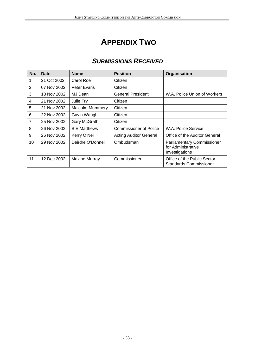## **APPENDIX TWO**

## **SUBMISSIONS RECEIVED**

| No.            | Date        | <b>Name</b>            | <b>Position</b>               | Organisation                                                              |
|----------------|-------------|------------------------|-------------------------------|---------------------------------------------------------------------------|
| 1              | 21 Oct 2002 | Carol Roe              | Citizen                       |                                                                           |
| 2              | 07 Nov 2002 | Peter Evans            | Citizen                       |                                                                           |
| 3              | 18 Nov 2002 | MJ Dean                | <b>General President</b>      | W.A. Police Union of Workers                                              |
| $\overline{4}$ | 21 Nov 2002 | Julie Fry              | Citizen                       |                                                                           |
| 5              | 21 Nov 2002 | <b>Malcolm Mummery</b> | Citizen                       |                                                                           |
| 6              | 22 Nov 2002 | Gavin Waugh            | Citizen                       |                                                                           |
| $\overline{7}$ | 25 Nov 2002 | Gary McGrath           | Citizen                       |                                                                           |
| 8              | 26 Nov 2002 | <b>B E Matthews</b>    | <b>Commissioner of Police</b> | W.A. Police Service                                                       |
| 9              | 26 Nov 2002 | Kerry O'Neil           | <b>Acting Auditor General</b> | Office of the Auditor General                                             |
| 10             | 29 Nov 2002 | Deirdre O'Donnell      | Ombudsman                     | <b>Parliamentary Commissioner</b><br>for Administrative<br>Investigations |
| 11             | 12 Dec 2002 | Maxine Murray          | Commissioner                  | Office of the Public Sector<br><b>Standards Commissioner</b>              |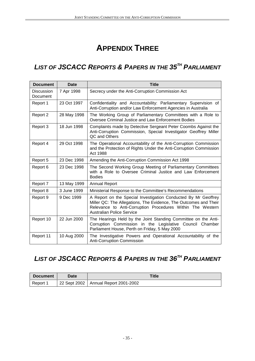## **APPENDIX THREE**

## **LIST OF JSCACC REPORTS & PAPERS IN THE 35TH PARLIAMENT**

| <b>Document</b>               | Date        | <b>Title</b>                                                                                                                                                                                                                         |
|-------------------------------|-------------|--------------------------------------------------------------------------------------------------------------------------------------------------------------------------------------------------------------------------------------|
| <b>Discussion</b><br>Document | 7 Apr 1998  | Secrecy under the Anti-Corruption Commission Act                                                                                                                                                                                     |
| Report 1                      | 23 Oct 1997 | Confidentiality and Accountability: Parliamentary Supervision of<br>Anti-Corruption and/or Law Enforcement Agencies in Australia                                                                                                     |
| Report 2                      | 28 May 1998 | The Working Group of Parliamentary Committees with a Role to<br>Oversee Criminal Justice and Law Enforcement Bodies                                                                                                                  |
| Report 3                      | 18 Jun 1998 | Complaints made by Detective Sergeant Peter Coombs Against the<br>Anti-Corruption Commission, Special Investigator Geoffrey Miller<br>QC and Others                                                                                  |
| Report 4                      | 29 Oct 1998 | The Operational Accountability of the Anti-Corruption Commission<br>and the Protection of Rights Under the Anti-Corruption Commission<br>Act 1988                                                                                    |
| Report 5                      | 23 Dec 1998 | Amending the Anti-Corruption Commission Act 1998                                                                                                                                                                                     |
| Report 6                      | 23 Dec 1998 | The Second Working Group Meeting of Parliamentary Committees<br>with a Role to Oversee Criminal Justice and Law Enforcement<br><b>Bodies</b>                                                                                         |
| Report 7                      | 13 May 1999 | <b>Annual Report</b>                                                                                                                                                                                                                 |
| Report 8                      | 3 June 1999 | Ministerial Response to the Committee's Recommendations                                                                                                                                                                              |
| Report 9                      | 9 Dec 1999  | A Report on the Special Investigation Conducted By Mr Geoffrey<br>Miller QC: The Allegations, The Evidence, The Outcomes and Their<br>Relevance to Anti-Corruption Procedures Within The Western<br><b>Australian Police Service</b> |
| Report 10                     | 22 Jun 2000 | The Hearings Held by the Joint Standing Committee on the Anti-<br>Corruption Commission in the Legislative Council Chamber<br>Parliament House, Perth on Friday, 5 May 2000                                                          |
| Report 11                     | 10 Aug 2000 | The Investigative Powers and Operational Accountability of the<br>Anti-Corruption Commission                                                                                                                                         |

## **LIST OF JSCACC REPORTS & PAPERS IN THE 36TH PARLIAMENT**

| <b>Document</b> | <b>Date</b> | Title                                  |  |
|-----------------|-------------|----------------------------------------|--|
| Report 1        |             | 22 Sept 2002   Annual Report 2001-2002 |  |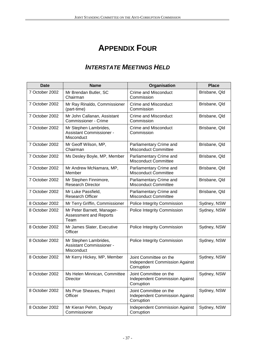## **APPENDIX FOUR**

## **INTERSTATE MEETINGS HELD**

| <b>Date</b>    | <b>Name</b>                                                            | Organisation                                                                  | <b>Place</b>  |
|----------------|------------------------------------------------------------------------|-------------------------------------------------------------------------------|---------------|
| 7 October 2002 | Mr Brendan Butler, SC<br>Chairman                                      | <b>Crime and Misconduct</b><br>Commission                                     | Brisbane, Qld |
| 7 October 2002 | Mr Ray Rinaldo, Commissioner<br>(part-time)                            | <b>Crime and Misconduct</b><br>Commission                                     | Brisbane, Qld |
| 7 October 2002 | Mr John Callanan, Assistant<br><b>Commissioner - Crime</b>             | Crime and Misconduct<br>Commission                                            | Brisbane, Qld |
| 7 October 2002 | Mr Stephen Lambrides,<br>Assistant Commissioner -<br>Misconduct        | <b>Crime and Misconduct</b><br>Commission                                     | Brisbane, Qld |
| 7 October 2002 | Mr Geoff Wilson, MP,<br>Chairman                                       | Parliamentary Crime and<br><b>Misconduct Committee</b>                        | Brisbane, Qld |
| 7 October 2002 | Ms Desley Boyle, MP, Member                                            | Parliamentary Crime and<br><b>Misconduct Committee</b>                        | Brisbane, Qld |
| 7 October 2002 | Mr Andrew McNamara, MP,<br>Member                                      | Parliamentary Crime and<br><b>Misconduct Committee</b>                        | Brisbane, Qld |
| 7 October 2002 | Mr Stephen Finnimore,<br><b>Research Director</b>                      | Parliamentary Crime and<br><b>Misconduct Committee</b>                        | Brisbane, Qld |
| 7 October 2002 | Mr Luke Passfield,<br><b>Research Officer</b>                          | Parliamentary Crime and<br><b>Misconduct Committee</b>                        | Brisbane, Qld |
| 8 October 2002 | Mr Terry Griffin, Commissioner                                         | Police Integrity Commission                                                   | Sydney, NSW   |
| 8 October 2002 | Mr Peter Barnett, Manager-<br><b>Assessment and Reports</b><br>Team    | Police Integrity Commission                                                   | Sydney, NSW   |
| 8 October 2002 | Mr James Slater, Executive<br>Officer                                  | Police Integrity Commission                                                   | Sydney, NSW   |
| 8 October 2002 | Mr Stephen Lambrides,<br><b>Assistant Commissioner -</b><br>Misconduct | Police Integrity Commission                                                   | Sydney, NSW   |
| 8 October 2002 | Mr Kerry Hickey, MP, Member                                            | Joint Committee on the<br><b>Independent Commission Against</b><br>Corruption | Sydney, NSW   |
| 8 October 2002 | Ms Helen Minnican, Committee<br>Director                               | Joint Committee on the<br><b>Independent Commission Against</b><br>Corruption | Sydney, NSW   |
| 8 October 2002 | Ms Prue Sheaves, Project<br>Officer                                    | Joint Committee on the<br><b>Independent Commission Against</b><br>Corruption | Sydney, NSW   |
| 8 October 2002 | Mr Kieran Pehm, Deputy<br>Commissioner                                 | <b>Independent Commission Against</b><br>Corruption                           | Sydney, NSW   |